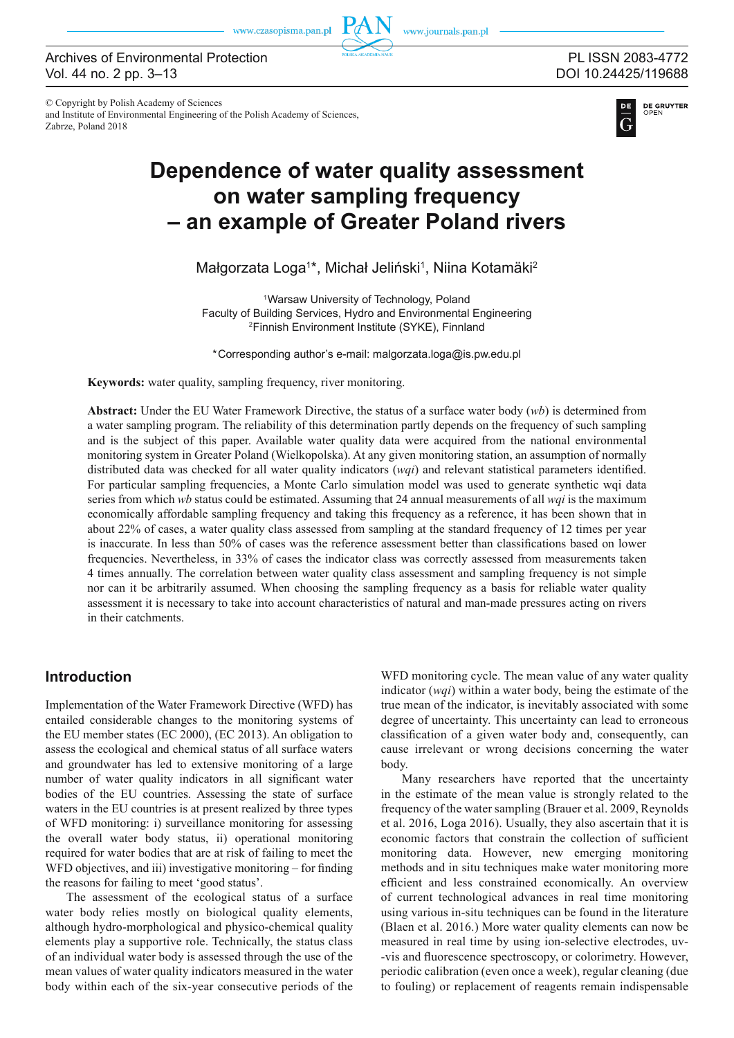www.journals.pan.pl

© Copyright by Polish Academy of Sciences and Institute of Environmental Engineering of the Polish Academy of Sciences, Zabrze, Poland 2018

# PL ISSN 2083-4772 DOI 10.24425/119688



# **Dependence of water quality assessment on water sampling frequency – an example of Greater Poland rivers**

Małgorzata Loga<sup>1\*</sup>, Michał Jeliński<sup>1</sup>, Niina Kotamäki<sup>2</sup>

1Warsaw University of Technology, Poland Faculty of Building Services, Hydro and Environmental Engineering 2Finnish Environment Institute (SYKE), Finnland

\*Corresponding author's e-mail: malgorzata.loga@is.pw.edu.pl

**Keywords:** water quality, sampling frequency, river monitoring.

**Abstract:** Under the EU Water Framework Directive, the status of a surface water body (*wb*) is determined from a water sampling program. The reliability of this determination partly depends on the frequency of such sampling and is the subject of this paper. Available water quality data were acquired from the national environmental monitoring system in Greater Poland (Wielkopolska). At any given monitoring station, an assumption of normally distributed data was checked for all water quality indicators  $(wqi)$  and relevant statistical parameters identified. For particular sampling frequencies, a Monte Carlo simulation model was used to generate synthetic wqi data series from which *wb* status could be estimated. Assuming that 24 annual measurements of all *wqi* is the maximum economically affordable sampling frequency and taking this frequency as a reference, it has been shown that in about 22% of cases, a water quality class assessed from sampling at the standard frequency of 12 times per year is inaccurate. In less than 50% of cases was the reference assessment better than classifications based on lower frequencies. Nevertheless, in 33% of cases the indicator class was correctly assessed from measurements taken 4 times annually. The correlation between water quality class assessment and sampling frequency is not simple nor can it be arbitrarily assumed. When choosing the sampling frequency as a basis for reliable water quality assessment it is necessary to take into account characteristics of natural and man-made pressures acting on rivers in their catchments.

# **Introduction**

Implementation of the Water Framework Directive (WFD) has entailed considerable changes to the monitoring systems of the EU member states (EC 2000), (EC 2013). An obligation to assess the ecological and chemical status of all surface waters and groundwater has led to extensive monitoring of a large number of water quality indicators in all significant water bodies of the EU countries. Assessing the state of surface waters in the EU countries is at present realized by three types of WFD monitoring: i) surveillance monitoring for assessing the overall water body status, ii) operational monitoring required for water bodies that are at risk of failing to meet the WFD objectives, and iii) investigative monitoring  $-$  for finding the reasons for failing to meet 'good status'.

The assessment of the ecological status of a surface water body relies mostly on biological quality elements, although hydro-morphological and physico-chemical quality elements play a supportive role. Technically, the status class of an individual water body is assessed through the use of the mean values of water quality indicators measured in the water body within each of the six-year consecutive periods of the

WFD monitoring cycle. The mean value of any water quality indicator (*wqi*) within a water body, being the estimate of the true mean of the indicator, is inevitably associated with some degree of uncertainty. This uncertainty can lead to erroneous classification of a given water body and, consequently, can cause irrelevant or wrong decisions concerning the water body.

Many researchers have reported that the uncertainty in the estimate of the mean value is strongly related to the frequency of the water sampling (Brauer et al. 2009, Reynolds et al. 2016, Loga 2016). Usually, they also ascertain that it is economic factors that constrain the collection of sufficient monitoring data. However, new emerging monitoring methods and in situ techniques make water monitoring more efficient and less constrained economically. An overview of current technological advances in real time monitoring using various in-situ techniques can be found in the literature (Blaen et al. 2016.) More water quality elements can now be measured in real time by using ion-selective electrodes, uv- -vis and fluorescence spectroscopy, or colorimetry. However, periodic calibration (even once a week), regular cleaning (due to fouling) or replacement of reagents remain indispensable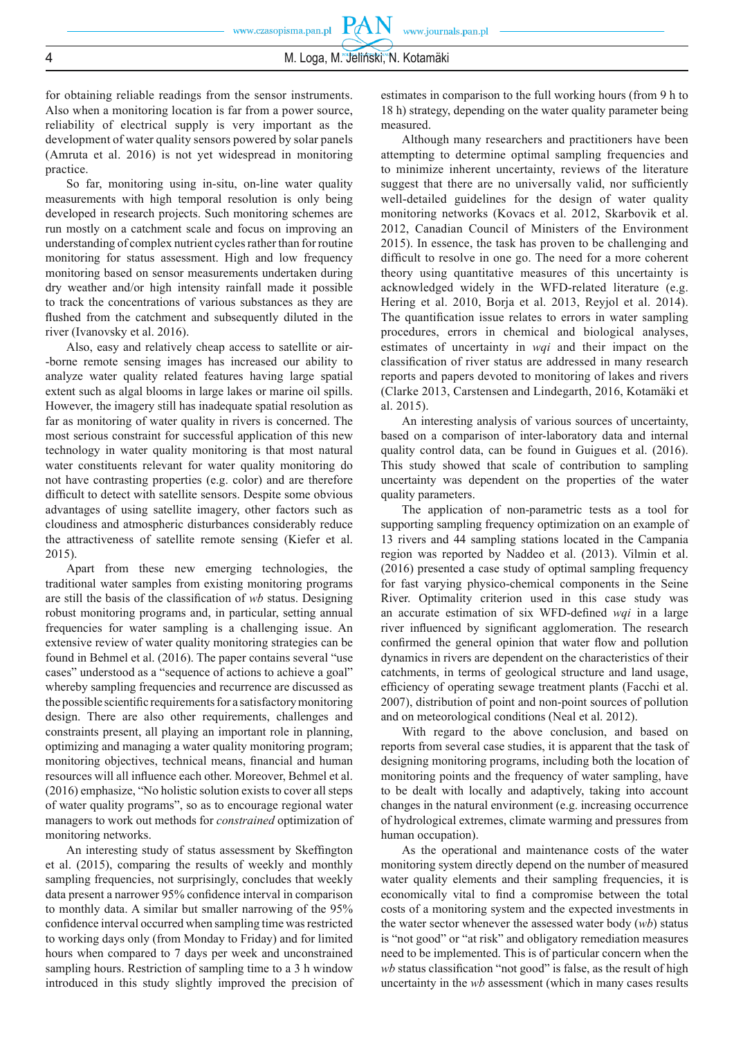**PAN** 

for obtaining reliable readings from the sensor instruments. Also when a monitoring location is far from a power source, reliability of electrical supply is very important as the development of water quality sensors powered by solar panels (Amruta et al. 2016) is not yet widespread in monitoring practice.

So far, monitoring using in-situ, on-line water quality measurements with high temporal resolution is only being developed in research projects. Such monitoring schemes are run mostly on a catchment scale and focus on improving an understanding of complex nutrient cycles rather than for routine monitoring for status assessment. High and low frequency monitoring based on sensor measurements undertaken during dry weather and/or high intensity rainfall made it possible to track the concentrations of various substances as they are flushed from the catchment and subsequently diluted in the river (Ivanovsky et al. 2016).

Also, easy and relatively cheap access to satellite or air- -borne remote sensing images has increased our ability to analyze water quality related features having large spatial extent such as algal blooms in large lakes or marine oil spills. However, the imagery still has inadequate spatial resolution as far as monitoring of water quality in rivers is concerned. The most serious constraint for successful application of this new technology in water quality monitoring is that most natural water constituents relevant for water quality monitoring do not have contrasting properties (e.g. color) and are therefore difficult to detect with satellite sensors. Despite some obvious advantages of using satellite imagery, other factors such as cloudiness and atmospheric disturbances considerably reduce the attractiveness of satellite remote sensing (Kiefer et al. 2015).

Apart from these new emerging technologies, the traditional water samples from existing monitoring programs are still the basis of the classification of *wb* status. Designing robust monitoring programs and, in particular, setting annual frequencies for water sampling is a challenging issue. An extensive review of water quality monitoring strategies can be found in Behmel et al. (2016). The paper contains several "use cases" understood as a "sequence of actions to achieve a goal" whereby sampling frequencies and recurrence are discussed as the possible scientific requirements for a satisfactory monitoring design. There are also other requirements, challenges and constraints present, all playing an important role in planning, optimizing and managing a water quality monitoring program; monitoring objectives, technical means, financial and human resources will all influence each other. Moreover, Behmel et al. (2016) emphasize, "No holistic solution exists to cover all steps of water quality programs", so as to encourage regional water managers to work out methods for *constrained* optimization of monitoring networks.

An interesting study of status assessment by Skeffington et al. (2015), comparing the results of weekly and monthly sampling frequencies, not surprisingly, concludes that weekly data present a narrower 95% confidence interval in comparison to monthly data. A similar but smaller narrowing of the 95% confidence interval occurred when sampling time was restricted to working days only (from Monday to Friday) and for limited hours when compared to 7 days per week and unconstrained sampling hours. Restriction of sampling time to a 3 h window introduced in this study slightly improved the precision of estimates in comparison to the full working hours (from 9 h to 18 h) strategy, depending on the water quality parameter being measured.

Although many researchers and practitioners have been attempting to determine optimal sampling frequencies and to minimize inherent uncertainty, reviews of the literature suggest that there are no universally valid, nor sufficiently well-detailed guidelines for the design of water quality monitoring networks (Kovacs et al. 2012, Skarbovik et al. 2012, Canadian Council of Ministers of the Environment 2015). In essence, the task has proven to be challenging and difficult to resolve in one go. The need for a more coherent theory using quantitative measures of this uncertainty is acknowledged widely in the WFD-related literature (e.g. Hering et al. 2010, Borja et al. 2013, Reyjol et al. 2014). The quantification issue relates to errors in water sampling procedures, errors in chemical and biological analyses, estimates of uncertainty in *wqi* and their impact on the classification of river status are addressed in many research reports and papers devoted to monitoring of lakes and rivers (Clarke 2013, Carstensen and Lindegarth, 2016, Kotamäki et al. 2015).

An interesting analysis of various sources of uncertainty, based on a comparison of inter-laboratory data and internal quality control data, can be found in Guigues et al. (2016). This study showed that scale of contribution to sampling uncertainty was dependent on the properties of the water quality parameters.

The application of non-parametric tests as a tool for supporting sampling frequency optimization on an example of 13 rivers and 44 sampling stations located in the Campania region was reported by Naddeo et al. (2013). Vilmin et al. (2016) presented a case study of optimal sampling frequency for fast varying physico-chemical components in the Seine River. Optimality criterion used in this case study was an accurate estimation of six WFD-defined *wqi* in a large river influenced by significant agglomeration. The research confirmed the general opinion that water flow and pollution dynamics in rivers are dependent on the characteristics of their catchments, in terms of geological structure and land usage, efficiency of operating sewage treatment plants (Facchi et al. 2007), distribution of point and non-point sources of pollution and on meteorological conditions (Neal et al. 2012).

With regard to the above conclusion, and based on reports from several case studies, it is apparent that the task of designing monitoring programs, including both the location of monitoring points and the frequency of water sampling, have to be dealt with locally and adaptively, taking into account changes in the natural environment (e.g. increasing occurrence of hydrological extremes, climate warming and pressures from human occupation).

As the operational and maintenance costs of the water monitoring system directly depend on the number of measured water quality elements and their sampling frequencies, it is economically vital to find a compromise between the total costs of a monitoring system and the expected investments in the water sector whenever the assessed water body (*wb*) status is "not good" or "at risk" and obligatory remediation measures need to be implemented. This is of particular concern when the *wb* status classification "not good" is false, as the result of high uncertainty in the *wb* assessment (which in many cases results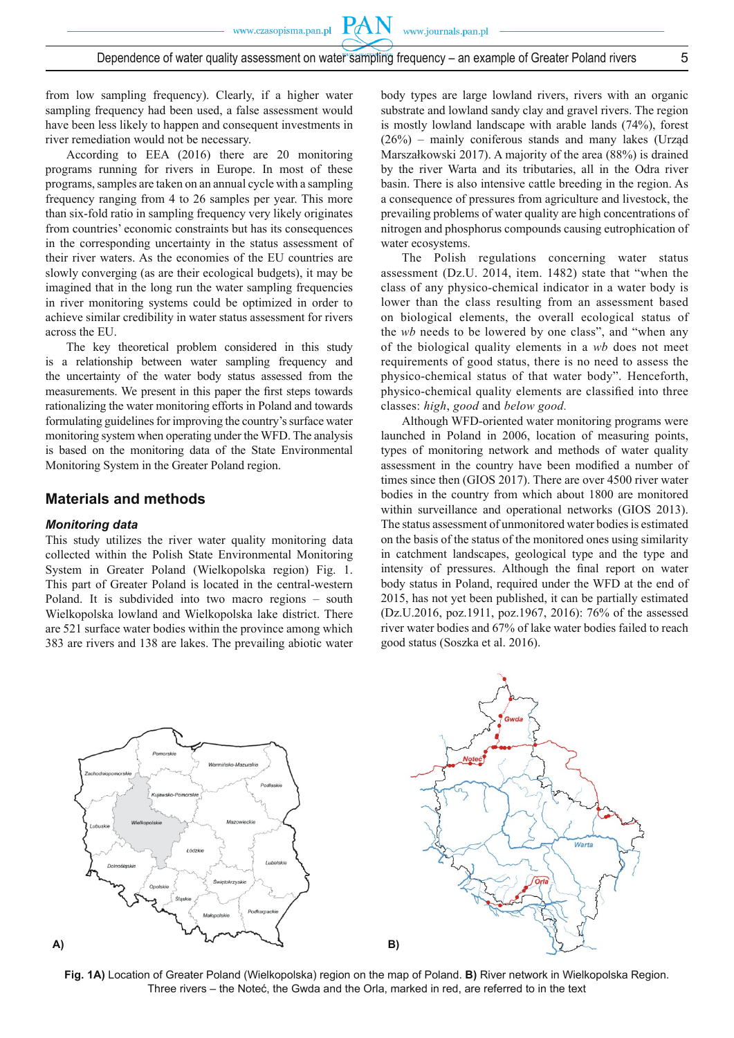PA

from low sampling frequency). Clearly, if a higher water sampling frequency had been used, a false assessment would have been less likely to happen and consequent investments in river remediation would not be necessary.

According to EEA (2016) there are 20 monitoring programs running for rivers in Europe. In most of these programs, samples are taken on an annual cycle with a sampling frequency ranging from 4 to 26 samples per year. This more than six-fold ratio in sampling frequency very likely originates from countries' economic constraints but has its consequences in the corresponding uncertainty in the status assessment of their river waters. As the economies of the EU countries are slowly converging (as are their ecological budgets), it may be imagined that in the long run the water sampling frequencies in river monitoring systems could be optimized in order to achieve similar credibility in water status assessment for rivers across the EU.

The key theoretical problem considered in this study is a relationship between water sampling frequency and the uncertainty of the water body status assessed from the measurements. We present in this paper the first steps towards rationalizing the water monitoring efforts in Poland and towards formulating guidelines for improving the country's surface water monitoring system when operating under the WFD. The analysis is based on the monitoring data of the State Environmental Monitoring System in the Greater Poland region.

### **Materials and methods**

#### *Monitoring data*

This study utilizes the river water quality monitoring data collected within the Polish State Environmental Monitoring System in Greater Poland (Wielkopolska region) Fig. 1. This part of Greater Poland is located in the central-western Poland. It is subdivided into two macro regions – south Wielkopolska lowland and Wielkopolska lake district. There are 521 surface water bodies within the province among which 383 are rivers and 138 are lakes. The prevailing abiotic water

body types are large lowland rivers, rivers with an organic substrate and lowland sandy clay and gravel rivers. The region is mostly lowland landscape with arable lands (74%), forest (26%) – mainly coniferous stands and many lakes (Urząd Marszałkowski 2017). A majority of the area (88%) is drained by the river Warta and its tributaries, all in the Odra river basin. There is also intensive cattle breeding in the region. As a consequence of pressures from agriculture and livestock, the prevailing problems of water quality are high concentrations of nitrogen and phosphorus compounds causing eutrophication of water ecosystems.

The Polish regulations concerning water status assessment (Dz.U. 2014, item. 1482) state that "when the class of any physico-chemical indicator in a water body is lower than the class resulting from an assessment based on biological elements, the overall ecological status of the *wb* needs to be lowered by one class", and "when any of the biological quality elements in a *wb* does not meet requirements of good status, there is no need to assess the physico-chemical status of that water body". Henceforth, physico-chemical quality elements are classified into three classes: *high*, *good* and *below good.* 

Although WFD-oriented water monitoring programs were launched in Poland in 2006, location of measuring points, types of monitoring network and methods of water quality assessment in the country have been modified a number of times since then (GIOS 2017). There are over 4500 river water bodies in the country from which about 1800 are monitored within surveillance and operational networks (GIOS 2013). The status assessment of unmonitored water bodies is estimated on the basis of the status of the monitored ones using similarity in catchment landscapes, geological type and the type and intensity of pressures. Although the final report on water body status in Poland, required under the WFD at the end of 2015, has not yet been published, it can be partially estimated (Dz.U.2016, poz.1911, poz.1967, 2016): 76% of the assessed river water bodies and 67% of lake water bodies failed to reach good status (Soszka et al. 2016).





**Fig. 1A)** Location of Greater Poland (Wielkopolska) region on the map of Poland. **B)** River network in Wielkopolska Region. Three rivers – the Noteć, the Gwda and the Orla, marked in red, are referred to in the text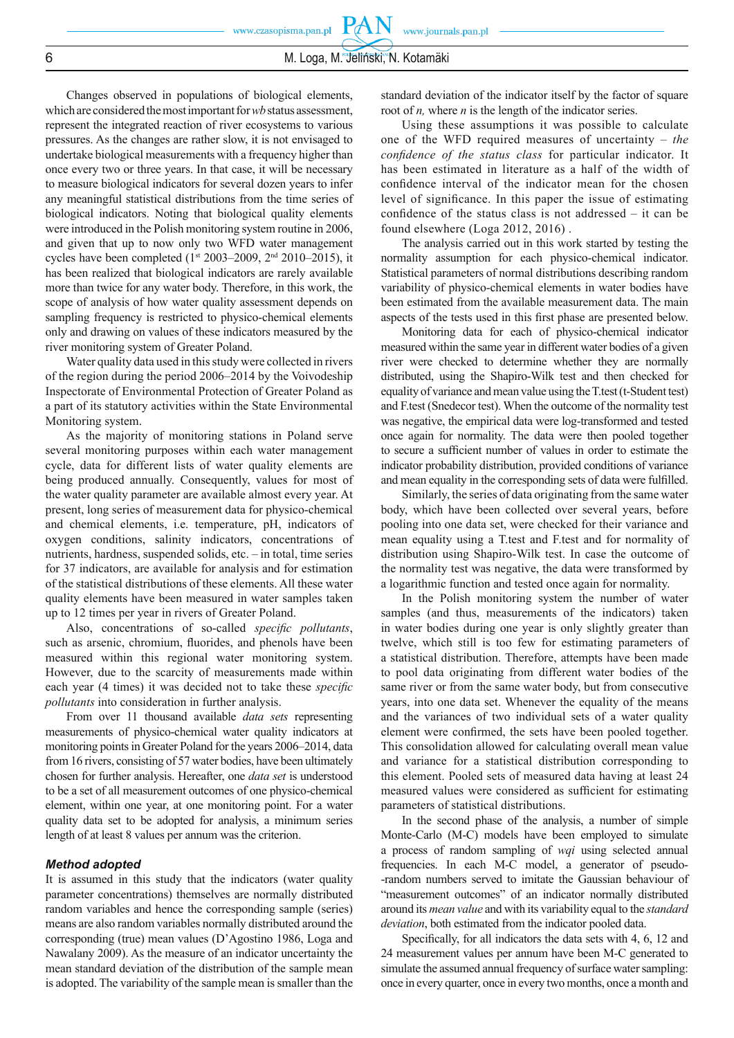**PAN** 

Changes observed in populations of biological elements, which are considered the most important for *wb* status assessment, represent the integrated reaction of river ecosystems to various pressures. As the changes are rather slow, it is not envisaged to undertake biological measurements with a frequency higher than once every two or three years. In that case, it will be necessary to measure biological indicators for several dozen years to infer any meaningful statistical distributions from the time series of biological indicators. Noting that biological quality elements were introduced in the Polish monitoring system routine in 2006, and given that up to now only two WFD water management cycles have been completed (1<sup>st</sup> 2003–2009, 2<sup>nd</sup> 2010–2015), it has been realized that biological indicators are rarely available more than twice for any water body. Therefore, in this work, the scope of analysis of how water quality assessment depends on sampling frequency is restricted to physico-chemical elements only and drawing on values of these indicators measured by the river monitoring system of Greater Poland.

Water quality data used in this study were collected in rivers of the region during the period 2006–2014 by the Voivodeship Inspectorate of Environmental Protection of Greater Poland as a part of its statutory activities within the State Environmental Monitoring system.

As the majority of monitoring stations in Poland serve several monitoring purposes within each water management cycle, data for different lists of water quality elements are being produced annually. Consequently, values for most of the water quality parameter are available almost every year. At present, long series of measurement data for physico-chemical and chemical elements, i.e. temperature, pH, indicators of oxygen conditions, salinity indicators, concentrations of nutrients, hardness, suspended solids, etc. – in total, time series for 37 indicators, are available for analysis and for estimation of the statistical distributions of these elements. All these water quality elements have been measured in water samples taken up to 12 times per year in rivers of Greater Poland.

Also, concentrations of so-called *specific pollutants*, such as arsenic, chromium, fluorides, and phenols have been measured within this regional water monitoring system. However, due to the scarcity of measurements made within each year (4 times) it was decided not to take these *specific pollutants* into consideration in further analysis.

From over 11 thousand available *data sets* representing measurements of physico-chemical water quality indicators at monitoring points in Greater Poland for the years 2006–2014, data from 16 rivers, consisting of 57 water bodies, have been ultimately chosen for further analysis. Hereafter, one *data set* is understood to be a set of all measurement outcomes of one physico-chemical element, within one year, at one monitoring point. For a water quality data set to be adopted for analysis, a minimum series length of at least 8 values per annum was the criterion.

#### *Method adopted*

It is assumed in this study that the indicators (water quality parameter concentrations) themselves are normally distributed random variables and hence the corresponding sample (series) means are also random variables normally distributed around the corresponding (true) mean values (D'Agostino 1986, Loga and Nawalany 2009). As the measure of an indicator uncertainty the mean standard deviation of the distribution of the sample mean is adopted. The variability of the sample mean is smaller than the

standard deviation of the indicator itself by the factor of square root of *n*, where *n* is the length of the indicator series.

Using these assumptions it was possible to calculate one of the WFD required measures of uncertainty – *the confidence of the status class* for particular indicator. It has been estimated in literature as a half of the width of confidence interval of the indicator mean for the chosen level of significance. In this paper the issue of estimating confidence of the status class is not addressed  $-$  it can be found elsewhere (Loga 2012, 2016) .

The analysis carried out in this work started by testing the normality assumption for each physico-chemical indicator. Statistical parameters of normal distributions describing random variability of physico-chemical elements in water bodies have been estimated from the available measurement data. The main aspects of the tests used in this first phase are presented below.

Monitoring data for each of physico-chemical indicator measured within the same year in different water bodies of a given river were checked to determine whether they are normally distributed, using the Shapiro-Wilk test and then checked for equality of variance and mean value using the T.test (t-Student test) and F.test (Snedecor test). When the outcome of the normality test was negative, the empirical data were log-transformed and tested once again for normality. The data were then pooled together to secure a sufficient number of values in order to estimate the indicator probability distribution, provided conditions of variance and mean equality in the corresponding sets of data were fulfilled.

Similarly, the series of data originating from the same water body, which have been collected over several years, before pooling into one data set, were checked for their variance and mean equality using a T.test and F.test and for normality of distribution using Shapiro-Wilk test. In case the outcome of the normality test was negative, the data were transformed by a logarithmic function and tested once again for normality.

In the Polish monitoring system the number of water samples (and thus, measurements of the indicators) taken in water bodies during one year is only slightly greater than twelve, which still is too few for estimating parameters of a statistical distribution. Therefore, attempts have been made to pool data originating from different water bodies of the same river or from the same water body, but from consecutive years, into one data set. Whenever the equality of the means and the variances of two individual sets of a water quality element were confirmed, the sets have been pooled together. This consolidation allowed for calculating overall mean value and variance for a statistical distribution corresponding to this element. Pooled sets of measured data having at least 24 measured values were considered as sufficient for estimating parameters of statistical distributions.

In the second phase of the analysis, a number of simple Monte-Carlo (M-C) models have been employed to simulate a process of random sampling of *wqi* using selected annual frequencies. In each M-C model, a generator of pseudo- -random numbers served to imitate the Gaussian behaviour of "measurement outcomes" of an indicator normally distributed around its *mean value* and with its variability equal to the *standard deviation*, both estimated from the indicator pooled data.

Specifically, for all indicators the data sets with 4, 6, 12 and 24 measurement values per annum have been M-C generated to simulate the assumed annual frequency of surface water sampling: once in every quarter, once in every two months, once a month and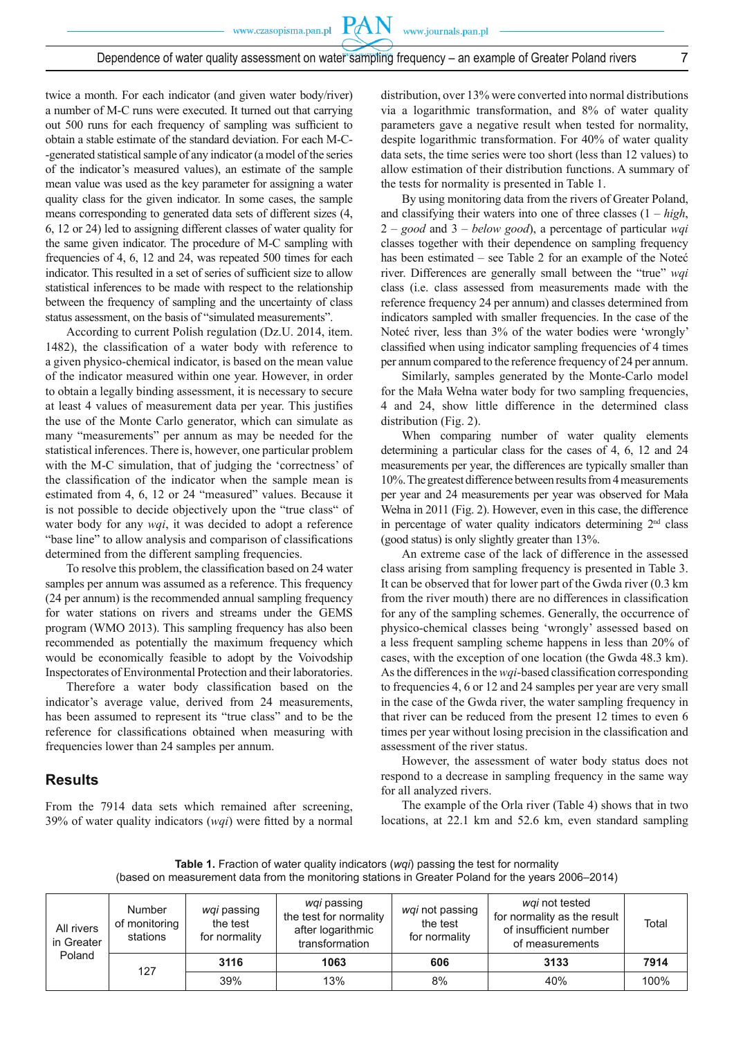**PAN** 

twice a month. For each indicator (and given water body/river) a number of M-C runs were executed. It turned out that carrying out 500 runs for each frequency of sampling was sufficient to obtain a stable estimate of the standard deviation. For each M-C- -generated statistical sample of any indicator (a model of the series of the indicator's measured values), an estimate of the sample mean value was used as the key parameter for assigning a water quality class for the given indicator. In some cases, the sample means corresponding to generated data sets of different sizes (4, 6, 12 or 24) led to assigning different classes of water quality for the same given indicator. The procedure of M-C sampling with frequencies of 4, 6, 12 and 24, was repeated 500 times for each indicator. This resulted in a set of series of sufficient size to allow statistical inferences to be made with respect to the relationship between the frequency of sampling and the uncertainty of class status assessment, on the basis of "simulated measurements".

According to current Polish regulation (Dz.U. 2014, item. 1482), the classification of a water body with reference to a given physico-chemical indicator, is based on the mean value of the indicator measured within one year. However, in order to obtain a legally binding assessment, it is necessary to secure at least 4 values of measurement data per year. This justifies the use of the Monte Carlo generator, which can simulate as many "measurements" per annum as may be needed for the statistical inferences. There is, however, one particular problem with the M-C simulation, that of judging the 'correctness' of the classification of the indicator when the sample mean is estimated from 4, 6, 12 or 24 "measured" values. Because it is not possible to decide objectively upon the "true class" of water body for any *wqi*, it was decided to adopt a reference "base line" to allow analysis and comparison of classifications determined from the different sampling frequencies.

To resolve this problem, the classification based on 24 water samples per annum was assumed as a reference. This frequency (24 per annum) is the recommended annual sampling frequency for water stations on rivers and streams under the GEMS program (WMO 2013). This sampling frequency has also been recommended as potentially the maximum frequency which would be economically feasible to adopt by the Voivodship Inspectorates of Environmental Protection and their laboratories.

Therefore a water body classification based on the indicator's average value, derived from 24 measurements, has been assumed to represent its "true class" and to be the reference for classifications obtained when measuring with frequencies lower than 24 samples per annum.

# **Results**

From the 7914 data sets which remained after screening, 39% of water quality indicators (*wqi*) were fitted by a normal

distribution, over 13% were converted into normal distributions via a logarithmic transformation, and 8% of water quality parameters gave a negative result when tested for normality, despite logarithmic transformation. For 40% of water quality data sets, the time series were too short (less than 12 values) to allow estimation of their distribution functions. A summary of the tests for normality is presented in Table 1.

By using monitoring data from the rivers of Greater Poland, and classifying their waters into one of three classes (1 – *high*, 2 – *good* and 3 – *below good*), a percentage of particular *wqi* classes together with their dependence on sampling frequency has been estimated – see Table 2 for an example of the Noteć river. Differences are generally small between the "true" *wqi* class (i.e. class assessed from measurements made with the reference frequency 24 per annum) and classes determined from indicators sampled with smaller frequencies. In the case of the Noteć river, less than 3% of the water bodies were 'wrongly' classified when using indicator sampling frequencies of 4 times per annum compared to the reference frequency of 24 per annum.

Similarly, samples generated by the Monte-Carlo model for the Mała Wełna water body for two sampling frequencies, 4 and 24, show little difference in the determined class distribution (Fig. 2).

When comparing number of water quality elements determining a particular class for the cases of 4, 6, 12 and 24 measurements per year, the differences are typically smaller than 10%. The greatest difference between results from 4 measurements per year and 24 measurements per year was observed for Mała Wełna in 2011 (Fig. 2). However, even in this case, the difference in percentage of water quality indicators determining 2nd class (good status) is only slightly greater than 13%.

An extreme case of the lack of difference in the assessed class arising from sampling frequency is presented in Table 3. It can be observed that for lower part of the Gwda river (0.3 km from the river mouth) there are no differences in classification for any of the sampling schemes. Generally, the occurrence of physico-chemical classes being 'wrongly' assessed based on a less frequent sampling scheme happens in less than 20% of cases, with the exception of one location (the Gwda 48.3 km). As the differences in the *wqi*-based classification corresponding to frequencies 4, 6 or 12 and 24 samples per year are very small in the case of the Gwda river, the water sampling frequency in that river can be reduced from the present 12 times to even 6 times per year without losing precision in the classification and assessment of the river status.

However, the assessment of water body status does not respond to a decrease in sampling frequency in the same way for all analyzed rivers.

The example of the Orla river (Table 4) shows that in two locations, at 22.1 km and 52.6 km, even standard sampling

**Table 1.** Fraction of water quality indicators (*wqi*) passing the test for normality (based on measurement data from the monitoring stations in Greater Poland for the years 2006–2014)

| All rivers<br>in Greater<br>Poland | <b>Number</b><br>of monitoring<br>stations | wqi passing<br>the test<br>for normality | <i>wqi</i> passing<br>the test for normality<br>after logarithmic<br>transformation | wqi not passing<br>the test<br>for normality | wqi not tested<br>for normality as the result<br>of insufficient number<br>of measurements | Total |
|------------------------------------|--------------------------------------------|------------------------------------------|-------------------------------------------------------------------------------------|----------------------------------------------|--------------------------------------------------------------------------------------------|-------|
|                                    | 127                                        | 3116                                     | 1063                                                                                | 606                                          | 3133                                                                                       | 7914  |
|                                    |                                            | 39%                                      | 13%                                                                                 | 8%                                           | 40%                                                                                        | 100%  |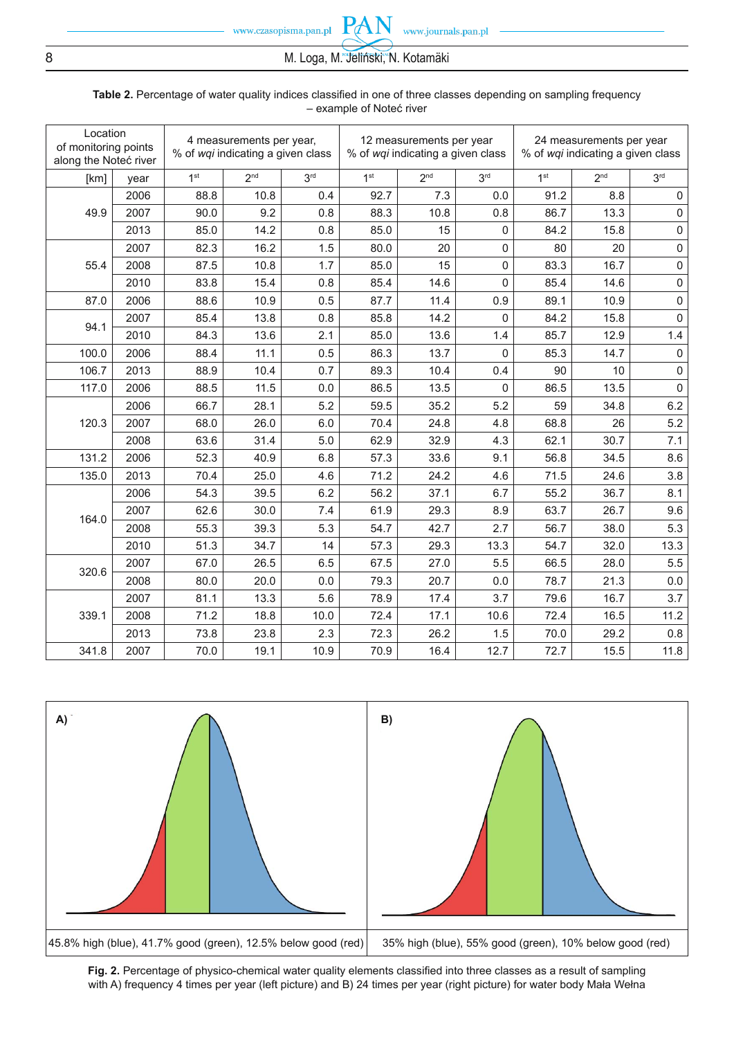# 8 M. Loga, M. Jeliński, N. Kotamäki

PA

| Location<br>of monitoring points<br>along the Noteć river |      | 4 measurements per year,<br>% of wqi indicating a given class |                 |                 | 12 measurements per year<br>% of wqi indicating a given class |                 |                 | 24 measurements per year<br>% of wqi indicating a given class |                 |                     |
|-----------------------------------------------------------|------|---------------------------------------------------------------|-----------------|-----------------|---------------------------------------------------------------|-----------------|-----------------|---------------------------------------------------------------|-----------------|---------------------|
| [km]                                                      | year | 1 <sup>st</sup>                                               | 2 <sup>nd</sup> | 3 <sup>rd</sup> | 1 <sup>st</sup>                                               | 2 <sub>nd</sub> | 3 <sup>rd</sup> | 1 <sup>st</sup>                                               | 2 <sup>nd</sup> | 3 <sup>rd</sup>     |
|                                                           | 2006 | 88.8                                                          | 10.8            | 0.4             | 92.7                                                          | 7.3             | 0.0             | 91.2                                                          | 8.8             | $\mathsf 0$         |
| 49.9                                                      | 2007 | 90.0                                                          | 9.2             | 0.8             | 88.3                                                          | 10.8            | 0.8             | 86.7                                                          | 13.3            | $\mathsf{O}\xspace$ |
|                                                           | 2013 | 85.0                                                          | 14.2            | 0.8             | 85.0                                                          | 15              | 0               | 84.2                                                          | 15.8            | $\mathsf 0$         |
|                                                           | 2007 | 82.3                                                          | 16.2            | 1.5             | 80.0                                                          | 20              | 0               | 80                                                            | 20              | $\mathsf{O}\xspace$ |
| 55.4                                                      | 2008 | 87.5                                                          | 10.8            | 1.7             | 85.0                                                          | 15              | $\mathsf 0$     | 83.3                                                          | 16.7            | $\mathsf{O}\xspace$ |
|                                                           | 2010 | 83.8                                                          | 15.4            | 0.8             | 85.4                                                          | 14.6            | 0               | 85.4                                                          | 14.6            | $\mathsf 0$         |
| 87.0                                                      | 2006 | 88.6                                                          | 10.9            | 0.5             | 87.7                                                          | 11.4            | 0.9             | 89.1                                                          | 10.9            | $\mathsf 0$         |
| 94.1                                                      | 2007 | 85.4                                                          | 13.8            | 0.8             | 85.8                                                          | 14.2            | $\mathbf{0}$    | 84.2                                                          | 15.8            | $\mathsf 0$         |
|                                                           | 2010 | 84.3                                                          | 13.6            | 2.1             | 85.0                                                          | 13.6            | 1.4             | 85.7                                                          | 12.9            | $1.4$               |
| 100.0                                                     | 2006 | 88.4                                                          | 11.1            | 0.5             | 86.3                                                          | 13.7            | $\mathsf 0$     | 85.3                                                          | 14.7            | $\mathsf{O}\xspace$ |
| 106.7                                                     | 2013 | 88.9                                                          | 10.4            | 0.7             | 89.3                                                          | 10.4            | 0.4             | 90                                                            | 10              | $\mathsf{O}\xspace$ |
| 117.0                                                     | 2006 | 88.5                                                          | 11.5            | 0.0             | 86.5                                                          | 13.5            | 0               | 86.5                                                          | 13.5            | $\mathsf 0$         |
|                                                           | 2006 | 66.7                                                          | 28.1            | 5.2             | 59.5                                                          | 35.2            | 5.2             | 59                                                            | 34.8            | 6.2                 |
| 120.3                                                     | 2007 | 68.0                                                          | 26.0            | 6.0             | 70.4                                                          | 24.8            | 4.8             | 68.8                                                          | 26              | 5.2                 |
|                                                           | 2008 | 63.6                                                          | 31.4            | 5.0             | 62.9                                                          | 32.9            | 4.3             | 62.1                                                          | 30.7            | 7.1                 |
| 131.2                                                     | 2006 | 52.3                                                          | 40.9            | 6.8             | 57.3                                                          | 33.6            | 9.1             | 56.8                                                          | 34.5            | 8.6                 |
| 135.0                                                     | 2013 | 70.4                                                          | 25.0            | 4.6             | 71.2                                                          | 24.2            | 4.6             | 71.5                                                          | 24.6            | 3.8                 |
|                                                           | 2006 | 54.3                                                          | 39.5            | 6.2             | 56.2                                                          | 37.1            | 6.7             | 55.2                                                          | 36.7            | 8.1                 |
| 164.0                                                     | 2007 | 62.6                                                          | 30.0            | 7.4             | 61.9                                                          | 29.3            | 8.9             | 63.7                                                          | 26.7            | 9.6                 |
|                                                           | 2008 | 55.3                                                          | 39.3            | 5.3             | 54.7                                                          | 42.7            | 2.7             | 56.7                                                          | 38.0            | 5.3                 |
|                                                           | 2010 | 51.3                                                          | 34.7            | 14              | 57.3                                                          | 29.3            | 13.3            | 54.7                                                          | 32.0            | 13.3                |
| 320.6                                                     | 2007 | 67.0                                                          | 26.5            | 6.5             | 67.5                                                          | 27.0            | 5.5             | 66.5                                                          | 28.0            | 5.5                 |
|                                                           | 2008 | 80.0                                                          | 20.0            | 0.0             | 79.3                                                          | 20.7            | 0.0             | 78.7                                                          | 21.3            | 0.0                 |
|                                                           | 2007 | 81.1                                                          | 13.3            | 5.6             | 78.9                                                          | 17.4            | 3.7             | 79.6                                                          | 16.7            | 3.7                 |
| 339.1                                                     | 2008 | 71.2                                                          | 18.8            | 10.0            | 72.4                                                          | 17.1            | 10.6            | 72.4                                                          | 16.5            | 11.2                |
|                                                           | 2013 | 73.8                                                          | 23.8            | 2.3             | 72.3                                                          | 26.2            | 1.5             | 70.0                                                          | 29.2            | 0.8                 |
| 341.8                                                     | 2007 | 70.0                                                          | 19.1            | 10.9            | 70.9                                                          | 16.4            | 12.7            | 72.7                                                          | 15.5            | 11.8                |

#### Table 2. Percentage of water quality indices classified in one of three classes depending on sampling frequency – example of Noteć river



Fig. 2. Percentage of physico-chemical water quality elements classified into three classes as a result of sampling with A) frequency 4 times per year (left picture) and B) 24 times per year (right picture) for water body Mała Wełna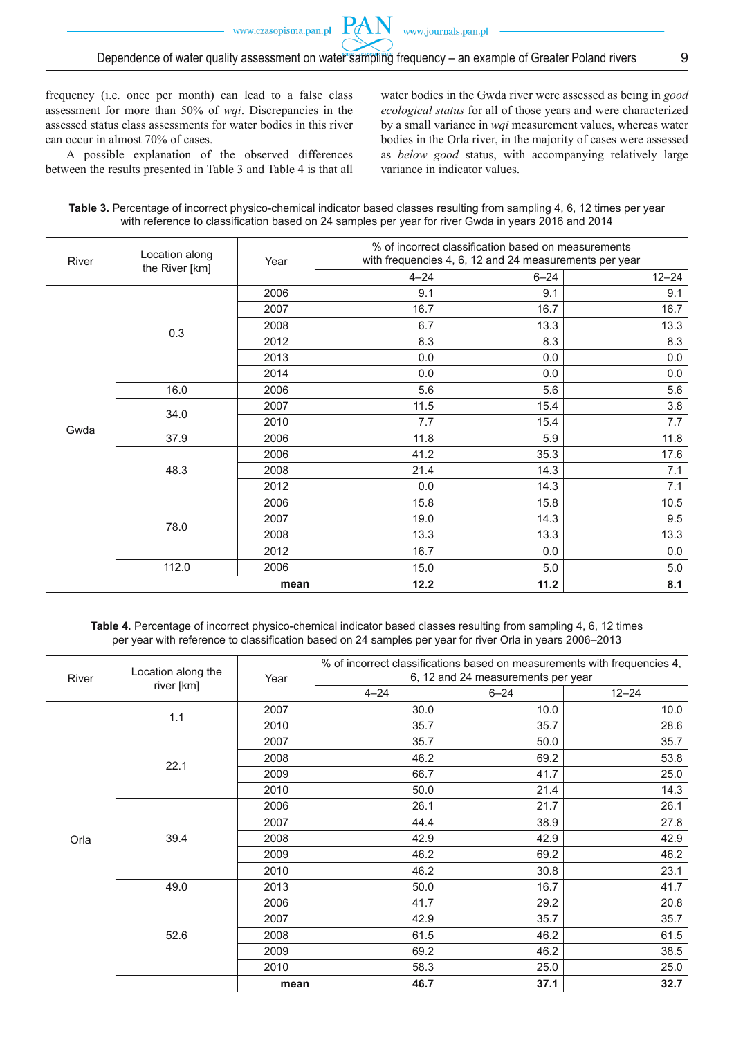# Dependence of water quality assessment on water sampling frequency – an example of Greater Poland rivers 9

**PAN** 

frequency (i.e. once per month) can lead to a false class assessment for more than 50% of *wqi*. Discrepancies in the assessed status class assessments for water bodies in this river can occur in almost 70% of cases.

A possible explanation of the observed differences between the results presented in Table 3 and Table 4 is that all water bodies in the Gwda river were assessed as being in *good ecological status* for all of those years and were characterized by a small variance in *wqi* measurement values, whereas water bodies in the Orla river, in the majority of cases were assessed as *below good* status, with accompanying relatively large variance in indicator values.

| Table 3. Percentage of incorrect physico-chemical indicator based classes resulting from sampling 4, 6, 12 times per year |  |
|---------------------------------------------------------------------------------------------------------------------------|--|
| with reference to classification based on 24 samples per year for river Gwda in years 2016 and 2014                       |  |

| River | Location along | Year | % of incorrect classification based on measurements<br>with frequencies 4, 6, 12 and 24 measurements per year |          |           |  |
|-------|----------------|------|---------------------------------------------------------------------------------------------------------------|----------|-----------|--|
|       | the River [km] |      | $4 - 24$                                                                                                      | $6 - 24$ | $12 - 24$ |  |
|       |                | 2006 | 9.1                                                                                                           | 9.1      | 9.1       |  |
|       |                | 2007 | 16.7                                                                                                          | 16.7     | 16.7      |  |
|       | 0.3            | 2008 | 6.7                                                                                                           | 13.3     | 13.3      |  |
|       |                | 2012 | 8.3                                                                                                           | 8.3      | 8.3       |  |
|       |                | 2013 | 0.0                                                                                                           | 0.0      | 0.0       |  |
|       |                | 2014 | 0.0                                                                                                           | 0.0      | 0.0       |  |
|       | 16.0           | 2006 | 5.6                                                                                                           | 5.6      | 5.6       |  |
|       | 34.0           | 2007 | 11.5                                                                                                          | 15.4     | 3.8       |  |
| Gwda  |                | 2010 | 7.7                                                                                                           | 15.4     | 7.7       |  |
|       | 37.9           | 2006 | 11.8                                                                                                          | 5.9      | 11.8      |  |
|       | 48.3           | 2006 | 41.2                                                                                                          | 35.3     | 17.6      |  |
|       |                | 2008 | 21.4                                                                                                          | 14.3     | 7.1       |  |
|       |                | 2012 | 0.0                                                                                                           | 14.3     | 7.1       |  |
|       |                | 2006 | 15.8                                                                                                          | 15.8     | 10.5      |  |
|       |                | 2007 | 19.0                                                                                                          | 14.3     | 9.5       |  |
|       | 78.0           | 2008 | 13.3                                                                                                          | 13.3     | 13.3      |  |
|       |                | 2012 | 16.7                                                                                                          | 0.0      | 0.0       |  |
|       | 112.0          | 2006 | 15.0                                                                                                          | 5.0      | $5.0$     |  |
|       |                | mean | 12.2                                                                                                          | 11.2     | 8.1       |  |

**Table 4.** Percentage of incorrect physico-chemical indicator based classes resulting from sampling 4, 6, 12 times per year with reference to classification based on 24 samples per year for river Orla in years 2006–2013

| River | Location along the | Year | % of incorrect classifications based on measurements with frequencies 4,<br>6, 12 and 24 measurements per year |          |           |  |  |
|-------|--------------------|------|----------------------------------------------------------------------------------------------------------------|----------|-----------|--|--|
|       | river [km]         |      | $4 - 24$                                                                                                       | $6 - 24$ | $12 - 24$ |  |  |
|       | 1.1                | 2007 | 30.0                                                                                                           | 10.0     | 10.0      |  |  |
|       |                    | 2010 | 35.7                                                                                                           | 35.7     | 28.6      |  |  |
|       |                    | 2007 | 35.7                                                                                                           | 50.0     | 35.7      |  |  |
|       | 22.1               | 2008 | 46.2                                                                                                           | 69.2     | 53.8      |  |  |
|       |                    | 2009 | 66.7                                                                                                           | 41.7     | 25.0      |  |  |
|       |                    | 2010 | 50.0                                                                                                           | 21.4     | 14.3      |  |  |
|       | 39.4               | 2006 | 26.1                                                                                                           | 21.7     | 26.1      |  |  |
|       |                    | 2007 | 44.4                                                                                                           | 38.9     | 27.8      |  |  |
| Orla  |                    | 2008 | 42.9                                                                                                           | 42.9     | 42.9      |  |  |
|       |                    | 2009 | 46.2                                                                                                           | 69.2     | 46.2      |  |  |
|       |                    | 2010 | 46.2                                                                                                           | 30.8     | 23.1      |  |  |
|       | 49.0               | 2013 | 50.0                                                                                                           | 16.7     | 41.7      |  |  |
|       |                    | 2006 | 41.7                                                                                                           | 29.2     | 20.8      |  |  |
|       |                    | 2007 | 42.9                                                                                                           | 35.7     | 35.7      |  |  |
|       | 52.6               | 2008 | 61.5                                                                                                           | 46.2     | 61.5      |  |  |
|       |                    | 2009 | 69.2                                                                                                           | 46.2     | 38.5      |  |  |
|       |                    | 2010 | 58.3                                                                                                           | 25.0     | 25.0      |  |  |
|       |                    | mean | 46.7                                                                                                           | 37.1     | 32.7      |  |  |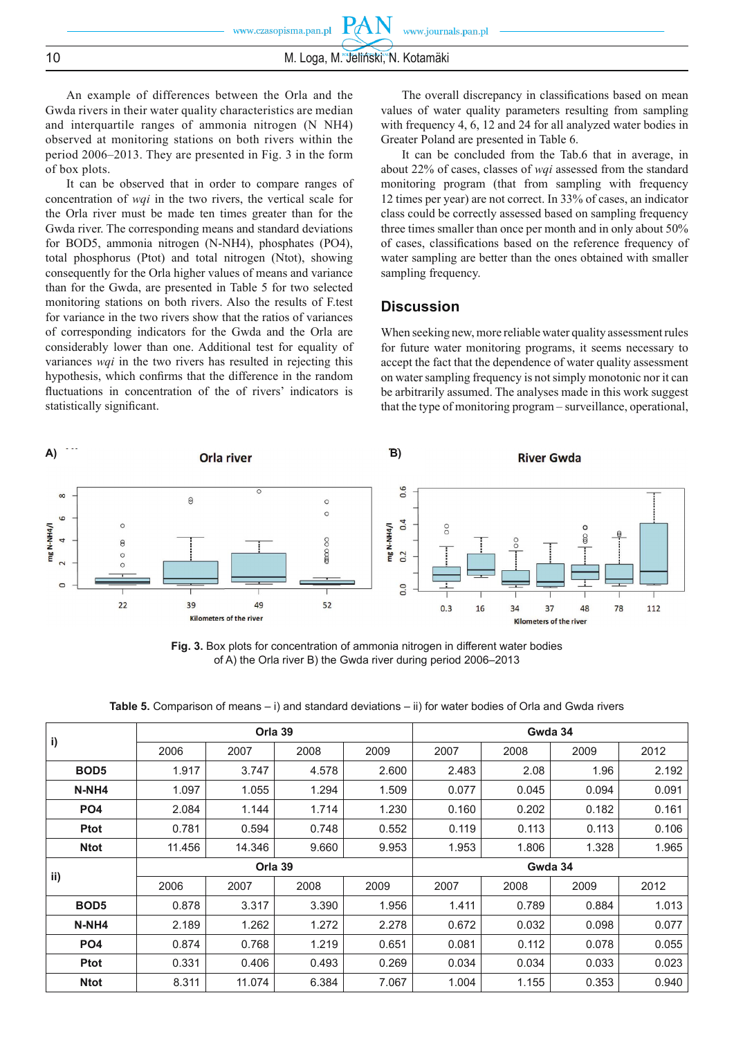## 10 M. Loga, M. Jeliński, N. Kotamäki

An example of differences between the Orla and the Gwda rivers in their water quality characteristics are median and interquartile ranges of ammonia nitrogen (N NH4) observed at monitoring stations on both rivers within the period 2006–2013. They are presented in Fig. 3 in the form of box plots.

It can be observed that in order to compare ranges of concentration of *wqi* in the two rivers, the vertical scale for the Orla river must be made ten times greater than for the Gwda river. The corresponding means and standard deviations for BOD5, ammonia nitrogen (N-NH4), phosphates (PO4), total phosphorus (Ptot) and total nitrogen (Ntot), showing consequently for the Orla higher values of means and variance than for the Gwda, are presented in Table 5 for two selected monitoring stations on both rivers. Also the results of F.test for variance in the two rivers show that the ratios of variances of corresponding indicators for the Gwda and the Orla are considerably lower than one. Additional test for equality of variances *wqi* in the two rivers has resulted in rejecting this hypothesis, which confirms that the difference in the random fluctuations in concentration of the of rivers' indicators is statistically significant.

The overall discrepancy in classifications based on mean values of water quality parameters resulting from sampling with frequency 4, 6, 12 and 24 for all analyzed water bodies in Greater Poland are presented in Table 6.

It can be concluded from the Tab.6 that in average, in about 22% of cases, classes of *wqi* assessed from the standard monitoring program (that from sampling with frequency 12 times per year) are not correct. In 33% of cases, an indicator class could be correctly assessed based on sampling frequency three times smaller than once per month and in only about 50% of cases, classifications based on the reference frequency of water sampling are better than the ones obtained with smaller sampling frequency.

## **Discussion**

When seeking new, more reliable water quality assessment rules for future water monitoring programs, it seems necessary to accept the fact that the dependence of water quality assessment on water sampling frequency is not simply monotonic nor it can be arbitrarily assumed. The analyses made in this work suggest that the type of monitoring program – surveillance, operational,



**Fig. 3.** Box plots for concentration of ammonia nitrogen in different water bodies of A) the Orla river B) the Gwda river during period 2006–2013

|                  |         | Orla 39 |       |       | Gwda 34 |       |       |       |
|------------------|---------|---------|-------|-------|---------|-------|-------|-------|
| i)               | 2006    | 2007    | 2008  | 2009  | 2007    | 2008  | 2009  | 2012  |
| BOD <sub>5</sub> | 1.917   | 3.747   | 4.578 | 2.600 | 2.483   | 2.08  | 1.96  | 2.192 |
| N-NH4            | 1.097   | 1.055   | 1.294 | 1.509 | 0.077   | 0.045 | 0.094 | 0.091 |
| PO <sub>4</sub>  | 2.084   | 1.144   | 1.714 | 1.230 | 0.160   | 0.202 | 0.182 | 0.161 |
| <b>Ptot</b>      | 0.781   | 0.594   | 0.748 | 0.552 | 0.119   | 0.113 | 0.113 | 0.106 |
| <b>Ntot</b>      | 11.456  | 14.346  | 9.660 | 9.953 | 1.953   | 1.806 | 1.328 | 1.965 |
|                  | Orla 39 |         |       |       | Gwda 34 |       |       |       |
| ii)              | 2006    | 2007    | 2008  | 2009  | 2007    | 2008  | 2009  | 2012  |
| BOD <sub>5</sub> | 0.878   | 3.317   | 3.390 | 1.956 | 1.411   | 0.789 | 0.884 | 1.013 |
| N-NH4            | 2.189   | 1.262   | 1.272 | 2.278 | 0.672   | 0.032 | 0.098 | 0.077 |
| PO <sub>4</sub>  | 0.874   | 0.768   | 1.219 | 0.651 | 0.081   | 0.112 | 0.078 | 0.055 |
| <b>Ptot</b>      | 0.331   | 0.406   | 0.493 | 0.269 | 0.034   | 0.034 | 0.033 | 0.023 |
| <b>Ntot</b>      | 8.311   | 11.074  | 6.384 | 7.067 | 1.004   | 1.155 | 0.353 | 0.940 |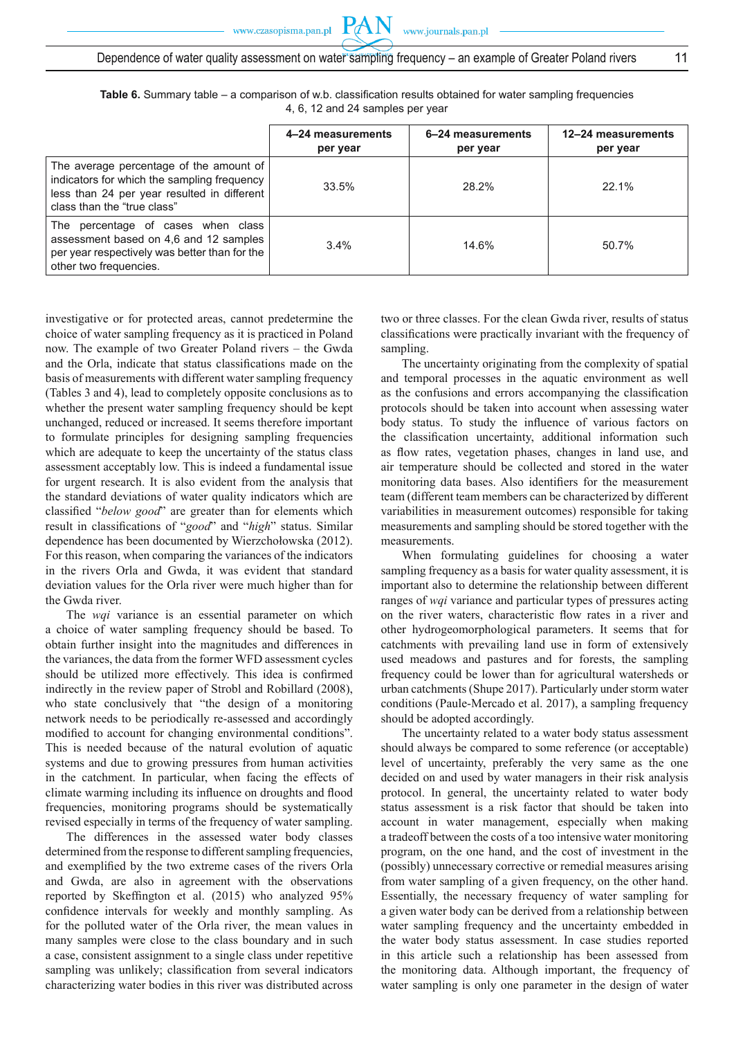Table 6. Summary table – a comparison of w.b. classification results obtained for water sampling frequencies 4, 6, 12 and 24 samples per year

**PAN** 

|                                                                                                                                                                      | 4-24 measurements<br>per year | 6-24 measurements<br>per year | 12-24 measurements<br>per year |
|----------------------------------------------------------------------------------------------------------------------------------------------------------------------|-------------------------------|-------------------------------|--------------------------------|
| The average percentage of the amount of<br>indicators for which the sampling frequency<br>less than 24 per year resulted in different<br>class than the "true class" | 33.5%                         | 28.2%                         | $22.1\%$                       |
| The percentage of cases when class<br>assessment based on 4,6 and 12 samples<br>per year respectively was better than for the<br>other two frequencies.              | 3.4%                          | 14.6%                         | 50.7%                          |

investigative or for protected areas, cannot predetermine the choice of water sampling frequency as it is practiced in Poland now. The example of two Greater Poland rivers – the Gwda and the Orla, indicate that status classifications made on the basis of measurements with different water sampling frequency (Tables 3 and 4), lead to completely opposite conclusions as to whether the present water sampling frequency should be kept unchanged, reduced or increased. It seems therefore important to formulate principles for designing sampling frequencies which are adequate to keep the uncertainty of the status class assessment acceptably low. This is indeed a fundamental issue for urgent research. It is also evident from the analysis that the standard deviations of water quality indicators which are classified "*below good*" are greater than for elements which result in classifications of "good" and "high" status. Similar dependence has been documented by Wierzchołowska (2012). For this reason, when comparing the variances of the indicators in the rivers Orla and Gwda, it was evident that standard deviation values for the Orla river were much higher than for the Gwda river.

The *wqi* variance is an essential parameter on which a choice of water sampling frequency should be based. To obtain further insight into the magnitudes and differences in the variances, the data from the former WFD assessment cycles should be utilized more effectively. This idea is confirmed indirectly in the review paper of Strobl and Robillard (2008), who state conclusively that "the design of a monitoring network needs to be periodically re-assessed and accordingly modified to account for changing environmental conditions". This is needed because of the natural evolution of aquatic systems and due to growing pressures from human activities in the catchment. In particular, when facing the effects of climate warming including its influence on droughts and flood frequencies, monitoring programs should be systematically revised especially in terms of the frequency of water sampling.

The differences in the assessed water body classes determined from the response to different sampling frequencies, and exemplified by the two extreme cases of the rivers Orla and Gwda, are also in agreement with the observations reported by Skeffington et al. (2015) who analyzed 95% confidence intervals for weekly and monthly sampling. As for the polluted water of the Orla river, the mean values in many samples were close to the class boundary and in such a case, consistent assignment to a single class under repetitive sampling was unlikely; classification from several indicators characterizing water bodies in this river was distributed across

two or three classes. For the clean Gwda river, results of status classifications were practically invariant with the frequency of sampling.

The uncertainty originating from the complexity of spatial and temporal processes in the aquatic environment as well as the confusions and errors accompanying the classification protocols should be taken into account when assessing water body status. To study the influence of various factors on the classification uncertainty, additional information such as flow rates, vegetation phases, changes in land use, and air temperature should be collected and stored in the water monitoring data bases. Also identifiers for the measurement team (different team members can be characterized by different variabilities in measurement outcomes) responsible for taking measurements and sampling should be stored together with the measurements.

When formulating guidelines for choosing a water sampling frequency as a basis for water quality assessment, it is important also to determine the relationship between different ranges of *wqi* variance and particular types of pressures acting on the river waters, characteristic flow rates in a river and other hydrogeomorphological parameters. It seems that for catchments with prevailing land use in form of extensively used meadows and pastures and for forests, the sampling frequency could be lower than for agricultural watersheds or urban catchments (Shupe 2017). Particularly under storm water conditions (Paule-Mercado et al. 2017), a sampling frequency should be adopted accordingly.

The uncertainty related to a water body status assessment should always be compared to some reference (or acceptable) level of uncertainty, preferably the very same as the one decided on and used by water managers in their risk analysis protocol. In general, the uncertainty related to water body status assessment is a risk factor that should be taken into account in water management, especially when making a tradeoff between the costs of a too intensive water monitoring program, on the one hand, and the cost of investment in the (possibly) unnecessary corrective or remedial measures arising from water sampling of a given frequency, on the other hand. Essentially, the necessary frequency of water sampling for a given water body can be derived from a relationship between water sampling frequency and the uncertainty embedded in the water body status assessment. In case studies reported in this article such a relationship has been assessed from the monitoring data. Although important, the frequency of water sampling is only one parameter in the design of water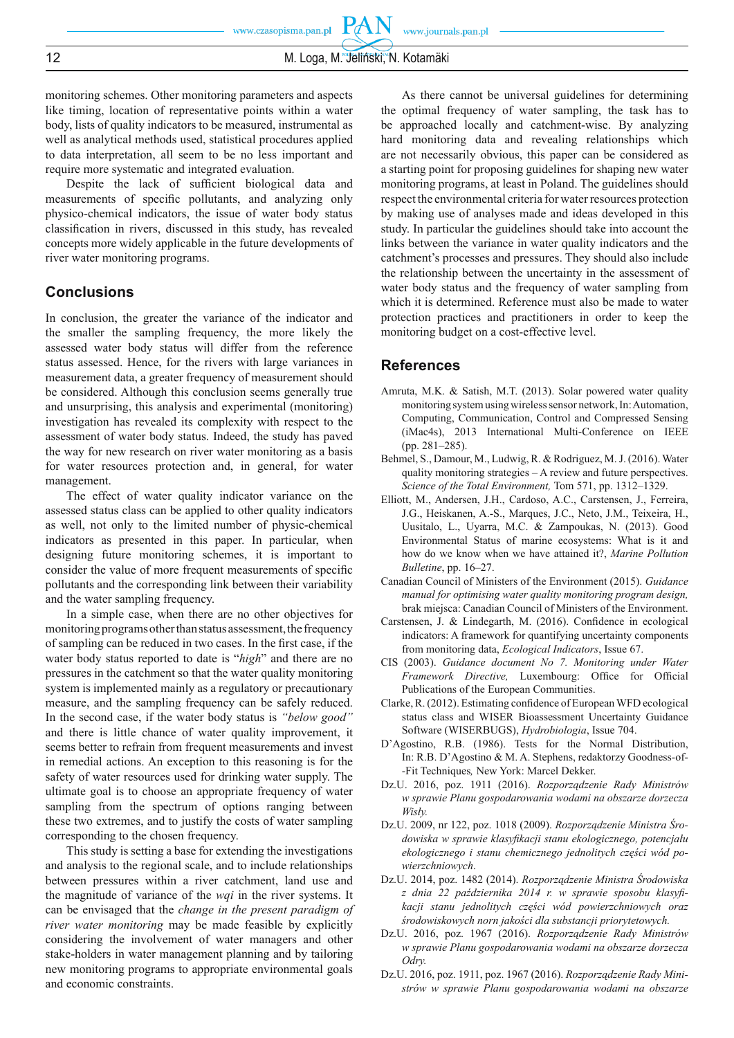**PAN** 

monitoring schemes. Other monitoring parameters and aspects like timing, location of representative points within a water body, lists of quality indicators to be measured, instrumental as well as analytical methods used, statistical procedures applied to data interpretation, all seem to be no less important and require more systematic and integrated evaluation.

Despite the lack of sufficient biological data and measurements of specific pollutants, and analyzing only physico-chemical indicators, the issue of water body status classification in rivers, discussed in this study, has revealed concepts more widely applicable in the future developments of river water monitoring programs.

# **Conclusions**

In conclusion, the greater the variance of the indicator and the smaller the sampling frequency, the more likely the assessed water body status will differ from the reference status assessed. Hence, for the rivers with large variances in measurement data, a greater frequency of measurement should be considered. Although this conclusion seems generally true and unsurprising, this analysis and experimental (monitoring) investigation has revealed its complexity with respect to the assessment of water body status. Indeed, the study has paved the way for new research on river water monitoring as a basis for water resources protection and, in general, for water management.

The effect of water quality indicator variance on the assessed status class can be applied to other quality indicators as well, not only to the limited number of physic-chemical indicators as presented in this paper. In particular, when designing future monitoring schemes, it is important to consider the value of more frequent measurements of specific pollutants and the corresponding link between their variability and the water sampling frequency.

In a simple case, when there are no other objectives for monitoring programs other than status assessment, the frequency of sampling can be reduced in two cases. In the first case, if the water body status reported to date is "*high*" and there are no pressures in the catchment so that the water quality monitoring system is implemented mainly as a regulatory or precautionary measure, and the sampling frequency can be safely reduced. In the second case, if the water body status is *"below good"* and there is little chance of water quality improvement, it seems better to refrain from frequent measurements and invest in remedial actions. An exception to this reasoning is for the safety of water resources used for drinking water supply. The ultimate goal is to choose an appropriate frequency of water sampling from the spectrum of options ranging between these two extremes, and to justify the costs of water sampling corresponding to the chosen frequency.

This study is setting a base for extending the investigations and analysis to the regional scale, and to include relationships between pressures within a river catchment, land use and the magnitude of variance of the *wqi* in the river systems. It can be envisaged that the *change in the present paradigm of river water monitoring* may be made feasible by explicitly considering the involvement of water managers and other stake-holders in water management planning and by tailoring new monitoring programs to appropriate environmental goals and economic constraints.

As there cannot be universal guidelines for determining the optimal frequency of water sampling, the task has to be approached locally and catchment-wise. By analyzing hard monitoring data and revealing relationships which are not necessarily obvious, this paper can be considered as a starting point for proposing guidelines for shaping new water monitoring programs, at least in Poland. The guidelines should respect the environmental criteria for water resources protection by making use of analyses made and ideas developed in this study. In particular the guidelines should take into account the links between the variance in water quality indicators and the catchment's processes and pressures. They should also include the relationship between the uncertainty in the assessment of water body status and the frequency of water sampling from which it is determined. Reference must also be made to water protection practices and practitioners in order to keep the monitoring budget on a cost-effective level.

#### **References**

- Amruta, M.K. & Satish, M.T. (2013). Solar powered water quality monitoring system using wireless sensor network, In: Automation, Computing, Communication, Control and Compressed Sensing (iMac4s), 2013 International Multi-Conference on IEEE (pp. 281–285).
- Behmel, S., Damour, M., Ludwig, R. & Rodriguez, M. J. (2016). Water quality monitoring strategies – A review and future perspectives. *Science of the Total Environment,* Tom 571, pp. 1312–1329.
- Elliott, M., Andersen, J.H., Cardoso, A.C., Carstensen, J., Ferreira, J.G., Heiskanen, A.-S., Marques, J.C., Neto, J.M., Teixeira, H., Uusitalo, L., Uyarra, M.C. & Zampoukas, N. (2013). Good Environmental Status of marine ecosystems: What is it and how do we know when we have attained it?, *Marine Pollution Bulletine*, pp. 16–27.
- Canadian Council of Ministers of the Environment (2015). *Guidance manual for optimising water quality monitoring program design,*  brak miejsca: Canadian Council of Ministers of the Environment.
- Carstensen, J. & Lindegarth, M. (2016). Confidence in ecological indicators: A framework for quantifying uncertainty components from monitoring data, *Ecological Indicators*, Issue 67.
- CIS (2003). *Guidance document No 7. Monitoring under Water Framework Directive,* Luxembourg: Office for Official Publications of the European Communities.
- Clarke, R. (2012). Estimating confidence of European WFD ecological status class and WISER Bioassessment Uncertainty Guidance Software (WISERBUGS), *Hydrobiologia*, Issue 704.
- D'Agostino, R.B. (1986). Tests for the Normal Distribution, In: R.B. D'Agostino & M. A. Stephens, redaktorzy Goodness-of- -Fit Techniques*,* New York: Marcel Dekker.
- Dz.U. 2016, poz. 1911 (2016). *Rozporządzenie Rady Ministrów w sprawie Planu gospodarowania wodami na obszarze dorzecza Wisły.*
- Dz.U. 2009, nr 122, poz. 1018 (2009). *Rozporządzenie Ministra Środowiska w sprawie klasyfi kacji stanu ekologicznego, potencjału ekologicznego i stanu chemicznego jednolitych części wód powierzchniowych*.
- Dz.U. 2014, poz. 1482 (2014). *Rozporządzenie Ministra Środowiska z dnia 22 października 2014 r. w sprawie sposobu klasyfi kacji stanu jednolitych części wód powierzchniowych oraz środowiskowych norn jakości dla substancji priorytetowych.*
- Dz.U. 2016, poz. 1967 (2016). *Rozporządzenie Rady Ministrów w sprawie Planu gospodarowania wodami na obszarze dorzecza Odry.*
- Dz.U. 2016, poz. 1911, poz. 1967 (2016). *Rozporządzenie Rady Ministrów w sprawie Planu gospodarowania wodami na obszarze*